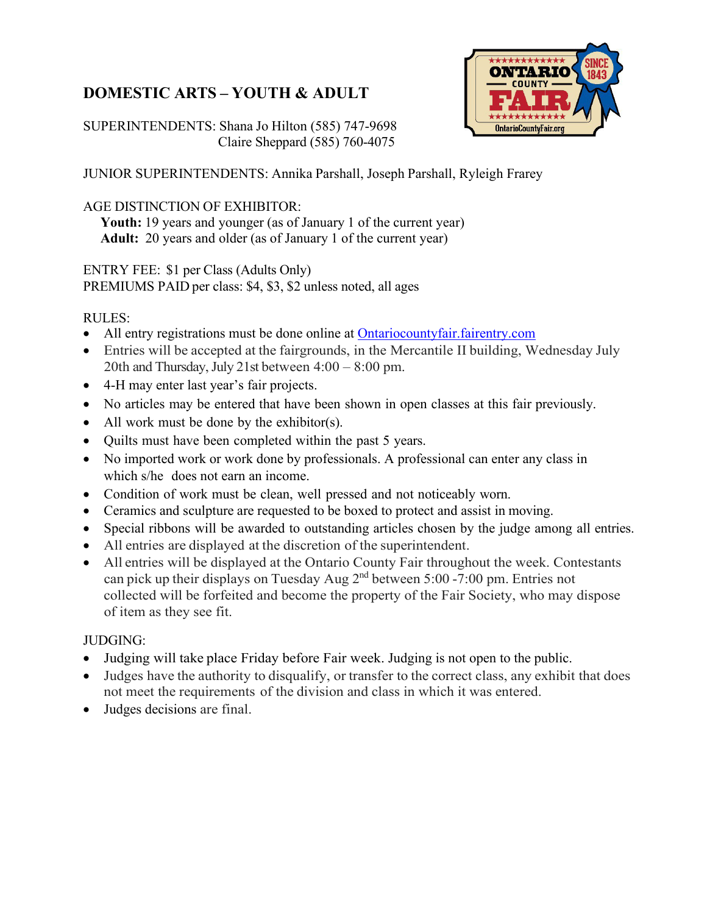# **DOMESTIC ARTS – YOUTH & ADULT**

SUPERINTENDENTS: Shana Jo Hilton (585) 747-9698 Claire Sheppard (585) 760-4075



JUNIOR SUPERINTENDENTS: Annika Parshall, Joseph Parshall, Ryleigh Frarey

#### AGE DISTINCTION OF EXHIBITOR:

 **Youth:** 19 years and younger (as of January 1 of the current year)  **Adult:** 20 years and older (as of January 1 of the current year)

ENTRY FEE: \$1 per Class (Adults Only)

PREMIUMS PAID per class: \$4, \$3, \$2 unless noted, all ages

#### RULES:

- All entry registrations must be done online at Ontariocountyfair. fairentry.com
- Entries will be accepted at the fairgrounds, in the Mercantile II building, Wednesday July 20th and Thursday, July 21st between 4:00 – 8:00 pm.
- 4-H may enter last year's fair projects.
- No articles may be entered that have been shown in open classes at this fair previously.
- All work must be done by the exhibitor(s).
- Quilts must have been completed within the past 5 years.
- No imported work or work done by professionals. A professional can enter any class in which s/he does not earn an income.
- Condition of work must be clean, well pressed and not noticeably worn.
- Ceramics and sculpture are requested to be boxed to protect and assist in moving.
- Special ribbons will be awarded to outstanding articles chosen by the judge among all entries.
- All entries are displayed at the discretion of the superintendent.
- All entries will be displayed at the Ontario County Fair throughout the week. Contestants can pick up their displays on Tuesday Aug  $2<sup>nd</sup>$  between 5:00 -7:00 pm. Entries not collected will be forfeited and become the property of the Fair Society, who may dispose of item as they see fit.

#### JUDGING:

- Judging will take place Friday before Fair week. Judging is not open to the public.
- Judges have the authority to disqualify, or transfer to the correct class, any exhibit that does not meet the requirements of the division and class in which it was entered.
- Judges decisions are final.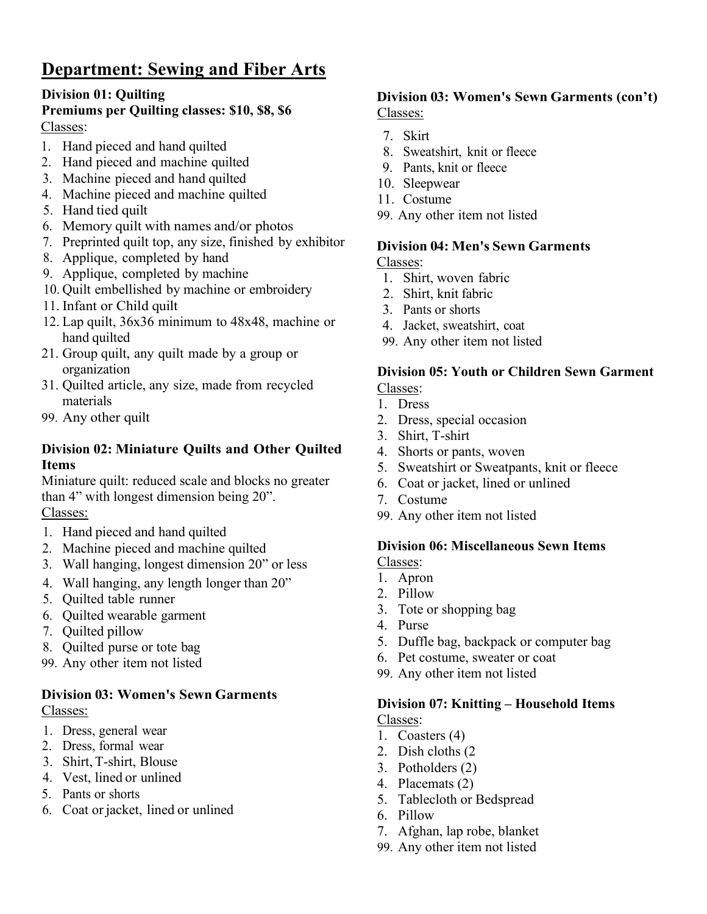# **Department: Sewing and Fiber Arts**

### **Division 01: Quilting**

### **Premiums per Quilting classes: \$10, \$8, \$6** Classes:

- 1. Hand pieced and hand quilted
- 2. Hand pieced and machine quilted
- 3. Machine pieced and hand quilted
- 4. Machine pieced and machine quilted
- 5. Hand tied quilt
- 6. Memory quilt with names and/or photos
- 7. Preprinted quilt top, any size, finished by exhibitor
- 8. Applique, completed by hand
- 9. Applique, completed by machine
- 10. Quilt embellished by machine or embroidery
- 11. Infant or Child quilt
- 12. Lap quilt, 36x36 minimum to 48x48, machine or hand quilted
- 21. Group quilt, any quilt made by a group or organization
- 31. Quilted article, any size, made from recycled materials
- 99. Any other quilt

#### **Division 02: Miniature Quilts and Other Quilted Items**

Miniature quilt: reduced scale and blocks no greater than 4" with longest dimension being 20". Classes:

- 1. Hand pieced and hand quilted
- 2. Machine pieced and machine quilted
- 3. Wall hanging, longest dimension 20" or less
- 4. Wall hanging, any length longer than 20"
- 5. Quilted table runner
- 6. Quilted wearable garment
- 7. Quilted pillow
- 8. Quilted purse or tote bag
- 99. Any other item not listed

#### **Division 03: Women's Sewn Garments** Classes:

- 1. Dress, general wear
- 2. Dress, formal wear
- 3. Shirt, T-shirt, Blouse
- 4. Vest, lined or unlined
- 5. Pants or shorts
- 6. Coat or jacket, lined or unlined

# **Division 03: Women's Sewn Garments (con't)**

Classes:

- 7. Skirt
- 8. Sweatshirt, knit or fleece
- 9. Pants, knit or fleece
- 10. Sleepwear
- 11. Costume
- 99. Any other item not listed

#### **Division 04: Men's Sewn Garments**

Classes:

- 1. Shirt, woven fabric
- 2. Shirt, knit fabric
- 3. Pants or shorts
- 4. Jacket, sweatshirt, coat
- 99. Any other item not listed

#### **Division 05: Youth or Children Sewn Garment** Classes:

- 1. Dress
- 2. Dress, special occasion
- 3. Shirt, T-shirt
- 4. Shorts or pants, woven
- 5. Sweatshirt or Sweatpants, knit or fleece
- 6. Coat or jacket, lined or unlined
- 7. Costume
- 99. Any other item not listed

# **Division 06: Miscellaneous Sewn Items**

Classes:

- 1. Apron
- 2. Pillow
- 3. Tote or shopping bag
- 4. Purse
- 5. Duffle bag, backpack or computer bag
- 6. Pet costume, sweater or coat
- 99. Any other item not listed

#### **Division 07: Knitting – Household Items** Classes:

- 1. Coasters (4)
- 2. Dish cloths (2
- 3. Potholders (2)
- 4. Placemats (2)
- 5. Tablecloth or Bedspread
- 6. Pillow
- 7. Afghan, lap robe, blanket
- 99. Any other item not listed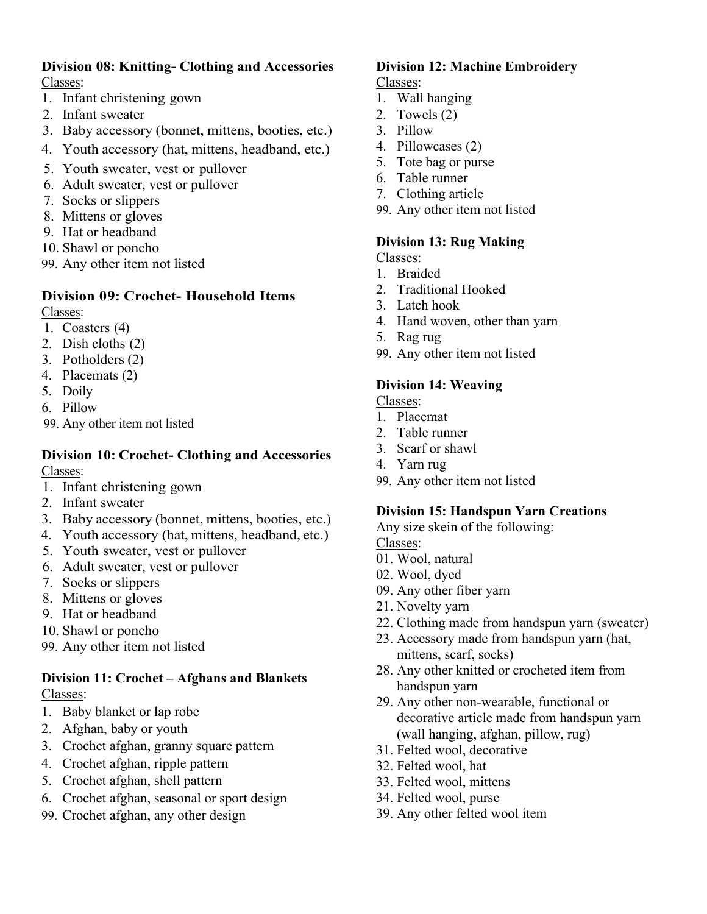#### **Division 08: Knitting- Clothing and Accessories** Classes:

- 1. Infant christening gown
- 2. Infant sweater
- 3. Baby accessory (bonnet, mittens, booties, etc.)
- 4. Youth accessory (hat, mittens, headband, etc.)
- 5. Youth sweater, vest or pullover
- 6. Adult sweater, vest or pullover
- 7. Socks or slippers
- 8. Mittens or gloves
- 9. Hat or headband
- 10. Shawl or poncho
- 99. Any other item not listed

#### **Division 09: Crochet- Household Items**

Classes:

- 1. Coasters (4)
- 2. Dish cloths (2)
- 3. Potholders (2)
- 4. Placemats (2)
- 5. Doily
- 6. Pillow
- 99. Any other item not listed

#### **Division 10: Crochet- Clothing and Accessories** Classes:

- 1. Infant christening gown
- 2. Infant sweater
- 3. Baby accessory (bonnet, mittens, booties, etc.)
- 4. Youth accessory (hat, mittens, headband, etc.)
- 5. Youth sweater, vest or pullover
- 6. Adult sweater, vest or pullover
- 7. Socks or slippers
- 8. Mittens or gloves
- 9. Hat or headband
- 10. Shawl or poncho
- 99. Any other item not listed

#### **Division 11: Crochet – Afghans and Blankets** Classes:

- 1. Baby blanket or lap robe
- 2. Afghan, baby or youth
- 3. Crochet afghan, granny square pattern
- 4. Crochet afghan, ripple pattern
- 5. Crochet afghan, shell pattern
- 6. Crochet afghan, seasonal or sport design
- 99. Crochet afghan, any other design

#### **Division 12: Machine Embroidery** Classes:

- 1. Wall hanging
- 2. Towels (2)
- 3. Pillow
- 4. Pillowcases (2)
- 5. Tote bag or purse
- 6. Table runner
- 7. Clothing article
- 99. Any other item not listed

#### **Division 13: Rug Making**

Classes:

- 1. Braided
- 2. Traditional Hooked
- 3. Latch hook
- 4. Hand woven, other than yarn
- 5. Rag rug
- 99. Any other item not listed

#### **Division 14: Weaving**

Classes:

- 1. Placemat
- 2. Table runner
- 3. Scarf or shawl
- 4. Yarn rug
- 99. Any other item not listed

#### **Division 15: Handspun Yarn Creations**

Any size skein of the following:

Classes:

- 01. Wool, natural
- 02. Wool, dyed
- 09. Any other fiber yarn
- 21. Novelty yarn
- 22. Clothing made from handspun yarn (sweater)
- 23. Accessory made from handspun yarn (hat, mittens, scarf, socks)
- 28. Any other knitted or crocheted item from handspun yarn
- 29. Any other non-wearable, functional or decorative article made from handspun yarn (wall hanging, afghan, pillow, rug)
- 31. Felted wool, decorative
- 32. Felted wool, hat
- 33. Felted wool, mittens
- 34. Felted wool, purse
- 39. Any other felted wool item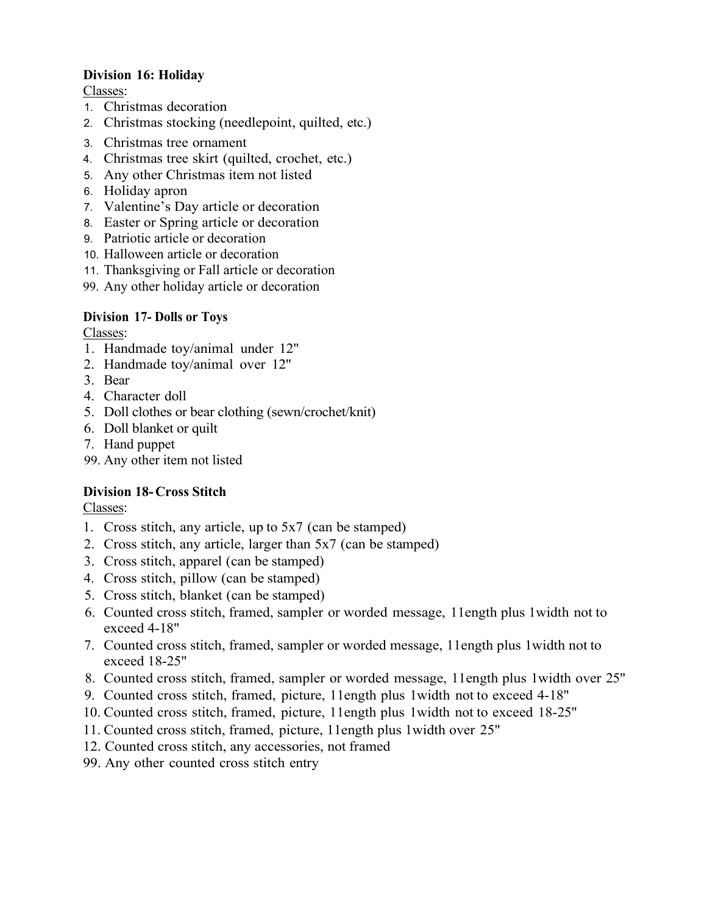#### **Division 16: Holiday**

Classes:

- 1. Christmas decoration
- 2. Christmas stocking (needlepoint, quilted, etc.)
- 3. Christmas tree ornament
- 4. Christmas tree skirt (quilted, crochet, etc.)
- 5. Any other Christmas item not listed
- 6. Holiday apron
- 7. Valentine's Day article or decoration
- 8. Easter or Spring article or decoration
- 9. Patriotic article or decoration
- 10. Halloween article or decoration
- 11. Thanksgiving or Fall article or decoration
- 99. Any other holiday article or decoration

#### **Division 17- Dolls or Toys**

Classes:

- 1. Handmade toy/animal under 12"
- 2. Handmade toy/animal over 12"
- 3. Bear
- 4. Character doll
- 5. Doll clothes or bear clothing (sewn/crochet/knit)
- 6. Doll blanket or quilt
- 7. Hand puppet
- 99. Any other item not listed

#### **Division 18-Cross Stitch**

Classes:

- 1. Cross stitch, any article, up to 5x7 (can be stamped)
- 2. Cross stitch, any article, larger than 5x7 (can be stamped)
- 3. Cross stitch, apparel (can be stamped)
- 4. Cross stitch, pillow (can be stamped)
- 5. Cross stitch, blanket (can be stamped)
- 6. Counted cross stitch, framed, sampler or worded message, 11ength plus 1width not to exceed 4-18"
- 7. Counted cross stitch, framed, sampler or worded message, 11ength plus 1width not to exceed 18-25"
- 8. Counted cross stitch, framed, sampler or worded message, 11ength plus 1width over 25"
- 9. Counted cross stitch, framed, picture, 11ength plus 1width not to exceed 4-18"
- 10. Counted cross stitch, framed, picture, 11ength plus 1width not to exceed 18-25"
- 11. Counted cross stitch, framed, picture, 11ength plus 1width over 25"
- 12. Counted cross stitch, any accessories, not framed
- 99. Any other counted cross stitch entry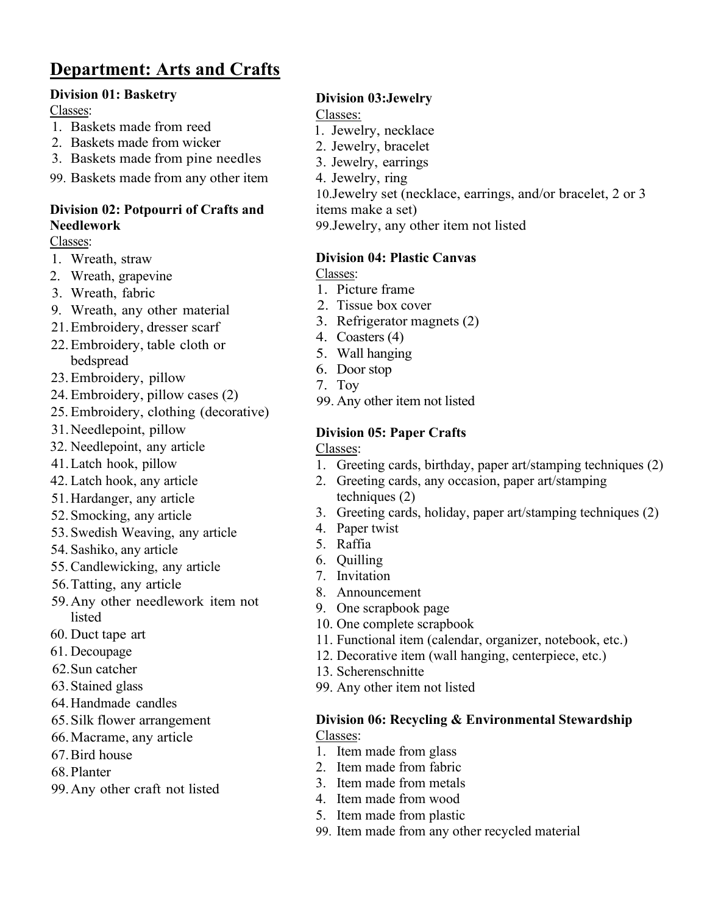# **Department: Arts and Crafts**

#### **Division 01: Basketry**

Classes:

- 1. Baskets made from reed
- 2. Baskets made from wicker
- 3. Baskets made from pine needles
- 99. Baskets made from any other item

#### **Division 02: Potpourri of Crafts and Needlework**

Classes:

- 1. Wreath, straw
- 2. Wreath, grapevine
- 3. Wreath, fabric
- 9. Wreath, any other material
- 21.Embroidery, dresser scarf
- 22.Embroidery, table cloth or bedspread
- 23.Embroidery, pillow
- 24. Embroidery, pillow cases (2)
- 25. Embroidery, clothing (decorative)
- 31.Needlepoint, pillow
- 32. Needlepoint, any article
- 41.Latch hook, pillow
- 42. Latch hook, any article
- 51.Hardanger, any article
- 52. Smocking, any article
- 53. Swedish Weaving, any article
- 54. Sashiko, any article
- 55.Candlewicking, any article
- 56.Tatting, any article
- 59.Any other needlework item not listed
- 60. Duct tape art
- 61. Decoupage
- 62.Sun catcher
- 63.Stained glass
- 64.Handmade candles
- 65.Silk flower arrangement
- 66.Macrame, any article
- 67.Bird house
- 68.Planter
- 99.Any other craft not listed

### **Division 03:Jewelry**

#### Classes:

- 1. Jewelry, necklace
- 2. Jewelry, bracelet
- 3. Jewelry, earrings
- 4. Jewelry, ring

10.Jewelry set (necklace, earrings, and/or bracelet, 2 or 3

items make a set)

99.Jewelry, any other item not listed

#### **Division 04: Plastic Canvas**

Classes:

- 1. Picture frame
- 2. Tissue box cover
- 3. Refrigerator magnets (2)
- 4. Coasters (4)
- 5. Wall hanging
- 6. Door stop
- 7. Toy
- 99. Any other item not listed

### **Division 05: Paper Crafts**

Classes:

- 1. Greeting cards, birthday, paper art/stamping techniques (2)
- 2. Greeting cards, any occasion, paper art/stamping techniques (2)
- 3. Greeting cards, holiday, paper art/stamping techniques (2)
- 4. Paper twist
- 5. Raffia
- 6. Quilling
- 7. Invitation
- 8. Announcement
- 9. One scrapbook page
- 10. One complete scrapbook
- 11. Functional item (calendar, organizer, notebook, etc.)
- 12. Decorative item (wall hanging, centerpiece, etc.)
- 13. Scherenschnitte
- 99. Any other item not listed

## **Division 06: Recycling & Environmental Stewardship**

Classes:

- 1. Item made from glass
- 2. Item made from fabric
- 3. Item made from metals
- 4. Item made from wood
- 5. Item made from plastic
- 99. Item made from any other recycled material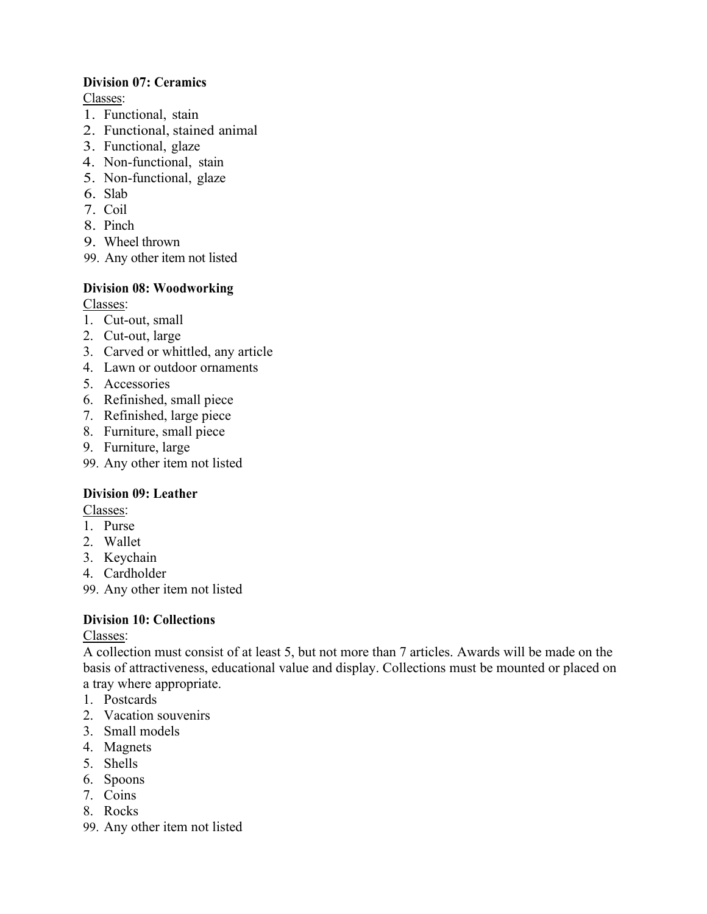#### **Division 07: Ceramics**

Classes:

- 1. Functional, stain
- 2. Functional, stained animal
- 3. Functional, glaze
- 4. Non-functional, stain
- 5. Non-functional, glaze
- 6. Slab
- 7. Coil
- 8. Pinch
- 9. Wheel thrown
- 99. Any other item not listed

#### **Division 08: Woodworking**

Classes:

- 1. Cut-out, small
- 2. Cut-out, large
- 3. Carved or whittled, any article
- 4. Lawn or outdoor ornaments
- 5. Accessories
- 6. Refinished, small piece
- 7. Refinished, large piece
- 8. Furniture, small piece
- 9. Furniture, large
- 99. Any other item not listed

#### **Division 09: Leather**

Classes:

- 1. Purse
- 2. Wallet
- 3. Keychain
- 4. Cardholder
- 99. Any other item not listed

#### **Division 10: Collections**

Classes:

A collection must consist of at least 5, but not more than 7 articles. Awards will be made on the basis of attractiveness, educational value and display. Collections must be mounted or placed on a tray where appropriate.

- 1. Postcards
- 2. Vacation souvenirs
- 3. Small models
- 4. Magnets
- 5. Shells
- 6. Spoons
- 7. Coins
- 8. Rocks
- 99. Any other item not listed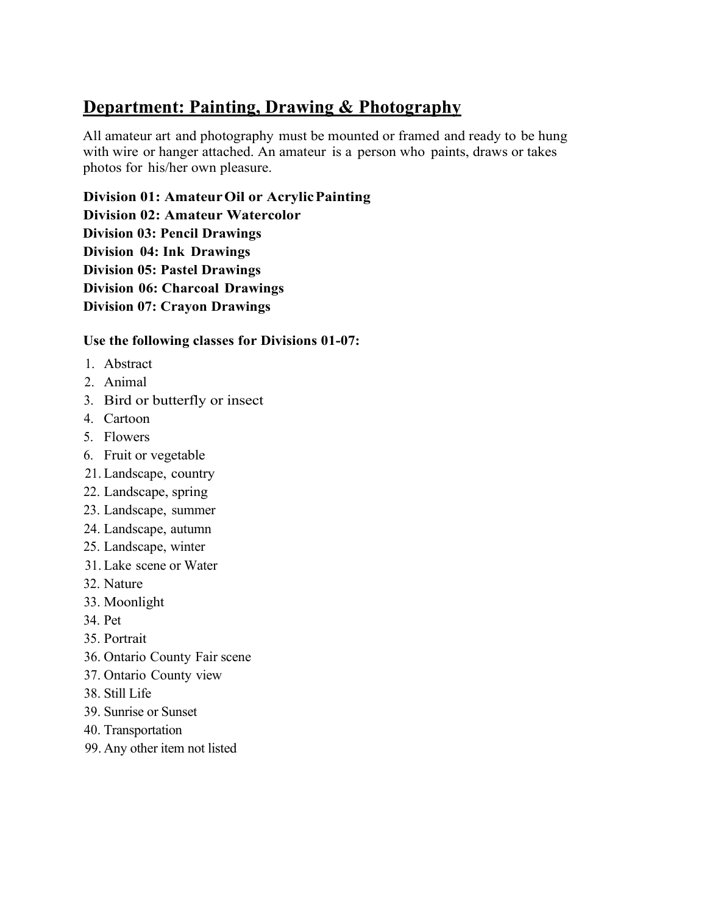# **Department: Painting, Drawing & Photography**

All amateur art and photography must be mounted or framed and ready to be hung with wire or hanger attached. An amateur is a person who paints, draws or takes photos for his/her own pleasure.

**Division 01: AmateurOil or AcrylicPainting**

**Division 02: Amateur Watercolor**

**Division 03: Pencil Drawings** 

**Division 04: Ink Drawings** 

**Division 05: Pastel Drawings** 

**Division 06: Charcoal Drawings** 

**Division 07: Crayon Drawings**

#### **Use the following classes for Divisions 01-07:**

- 1. Abstract
- 2. Animal
- 3. Bird or butterfly or insect
- 4. Cartoon
- 5. Flowers
- 6. Fruit or vegetable
- 21. Landscape, country
- 22. Landscape, spring
- 23. Landscape, summer
- 24. Landscape, autumn
- 25. Landscape, winter
- 31. Lake scene or Water
- 32. Nature
- 33. Moonlight
- 34. Pet
- 35. Portrait
- 36. Ontario County Fair scene
- 37. Ontario County view
- 38. Still Life
- 39. Sunrise or Sunset
- 40. Transportation
- 99. Any other item not listed